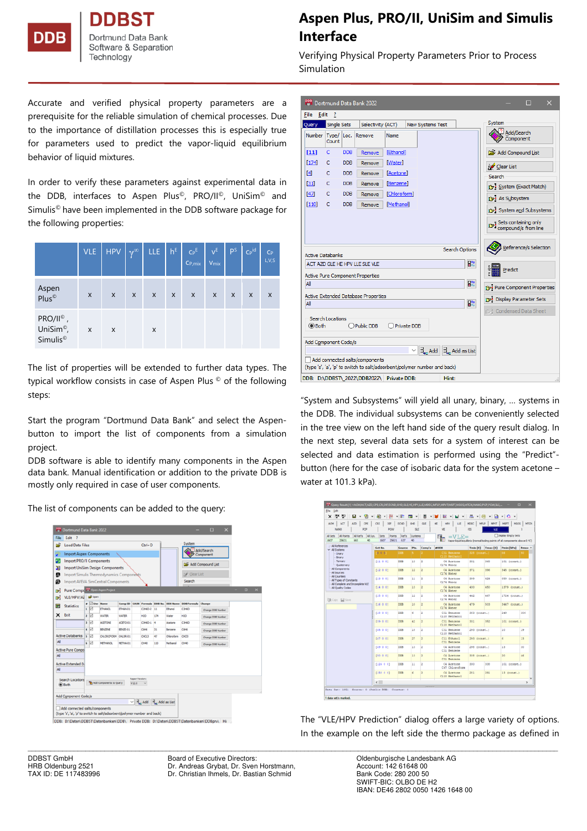

**Bank** Dortmund Data Software & Separation Technology

## **Aspen Plus, PRO/II, UniSim and Simulis Interface**

Verifying Physical Property Parameters Prior to Process Simulation

Accurate and verified physical property parameters are a prerequisite for the reliable simulation of chemical processes. Due to the importance of distillation processes this is especially true for parameters used to predict the vapor-liquid equilibrium behavior of liquid mixtures.

In order to verify these parameters against experimental data in the DDB, interfaces to Aspen Plus©, PRO/II©, UniSim© and Simulis© have been implemented in the DDB software package for the following properties:

|                                                                        | <b>VLE</b> | <b>HPV</b>     | $\mathbf{v}^{\infty}$     | <b>LLE</b> | $h^{E}$      | $\mathsf{Cp}^{\mathsf{E}}$<br>C <sub>P, mix</sub> | $V^{\text{E}}$<br>V <sub>mix</sub> | ps                        | $C_P$ id       | $C_{P}$<br>L.V.S          |
|------------------------------------------------------------------------|------------|----------------|---------------------------|------------|--------------|---------------------------------------------------|------------------------------------|---------------------------|----------------|---------------------------|
| Aspen<br>Plus <sup>©</sup>                                             | X          | $\pmb{\times}$ | $\boldsymbol{\mathsf{x}}$ | X          | $\mathsf{x}$ | $\boldsymbol{\mathsf{X}}$                         | $\mathsf{x}$                       | $\boldsymbol{\mathsf{x}}$ | $\pmb{\times}$ | $\boldsymbol{\mathsf{X}}$ |
| PRO/II <sup>©</sup> ,<br>UniSim <sup>®</sup> ,<br>Simulis <sup>®</sup> | X          | X              |                           | X          |              |                                                   |                                    |                           |                |                           |

The list of properties will be extended to further data types. The typical workflow consists in case of Aspen Plus © of the following steps:

Start the program "Dortmund Data Bank" and select the Aspenbutton to import the list of components from a simulation project.

DDB software is able to identify many components in the Aspen data bank. Manual identification or addition to the private DDB is mostly only required in case of user components.

The list of components can be added to the query:

| File      | Edit<br>$\overline{\phantom{a}}$            |  |                                        |                         |                 |                         |                                                              |           |          |                                                  |                         |             |          |
|-----------|---------------------------------------------|--|----------------------------------------|-------------------------|-----------------|-------------------------|--------------------------------------------------------------|-----------|----------|--------------------------------------------------|-------------------------|-------------|----------|
| œ         | <b>Load Data Files</b>                      |  | $Ctrl + O$                             |                         |                 |                         |                                                              | System    |          |                                                  |                         |             |          |
|           |                                             |  | <b>Import Aspen Components</b>         |                         |                 |                         |                                                              |           |          |                                                  | Add/Search<br>Component |             |          |
| Э         |                                             |  | <b>Import PRO/II Components</b>        |                         |                 |                         |                                                              |           |          |                                                  | Car Add Compound List   |             |          |
| ы         |                                             |  | <b>Import UniSim Design Components</b> |                         |                 |                         |                                                              |           |          |                                                  |                         |             |          |
| ø         | Import Simulis Thermodynamics Components    |  |                                        |                         |                 |                         |                                                              |           |          | A Clear List                                     |                         |             |          |
| ⋒         | Import AVEVA SimCentral Components          |  |                                        |                         |                 |                         |                                                              |           |          | Search                                           |                         |             |          |
| D.        | Pure Compe <sup>ex Open Aspen Project</sup> |  |                                        |                         |                 |                         |                                                              |           |          |                                                  |                         | $\Box$<br>۰ | $\times$ |
| вł        | VLE/HPV/A2 2 Open                           |  |                                        |                         |                 |                         |                                                              |           |          |                                                  |                         |             |          |
| 肩         | <b>Statistics</b>                           |  | <b>a</b> Use Rame                      |                         | Comp ID         |                         |                                                              |           |          | CASN Formula DOB No. DOB Name DOB Formula Change |                         |             |          |
|           |                                             |  | 11 ⊠                                   | <b>ETHANOL</b>          | ETHAN-01        |                         | C2/60-2                                                      | 11        | Ethanol  | C2H6O                                            | Change DDB Number       |             |          |
| ×         | Exit                                        |  | 2 <sup>2</sup>                         | <b>WATER</b>            | <b>IN ATER</b>  |                         | H3O                                                          | 174       | Walter   | H20                                              | Change DDB Number       |             |          |
|           |                                             |  | 3 <sup>2</sup>                         | <b>ACETCRE</b>          | ACETO-01        |                         | C3H60-1                                                      | ×         | Acetone  | C3H6O                                            | Change DDB Number       |             |          |
|           | <b>Active Databanks</b>                     |  | $\blacksquare$                         | <b>IDATE</b>            | <b>BD/ZE-01</b> |                         | CGH6                                                         | 31        | Bergene  | CGH6                                             | Change DDB Number       |             |          |
| <b>AI</b> |                                             |  | $5\Box$<br>$\overline{\bullet}$        | CHOROFORM CHLOR-01      |                 |                         | OKL3                                                         | $\bullet$ | Okeafarm | O <sub>13</sub>                                  | Change DDB Number       |             |          |
|           |                                             |  |                                        | <b>METHANICIL</b>       | METHA-01        |                         | <b>CH40</b>                                                  | 110       | Methanol | $O$ 640                                          | Change DDB Number       |             |          |
| All       | <b>Active Pure Compo</b>                    |  |                                        |                         |                 |                         |                                                              |           |          |                                                  |                         |             |          |
|           | <b>Active Extended Di</b>                   |  |                                        |                         |                 |                         |                                                              |           |          |                                                  |                         |             |          |
| All       |                                             |  |                                        |                         |                 |                         |                                                              |           |          |                                                  |                         |             |          |
|           |                                             |  |                                        |                         |                 |                         |                                                              |           |          |                                                  |                         |             |          |
|           | Search Locations<br><b>O</b> Both           |  |                                        | Add Components to Query |                 | Aspen Version:<br>V12.0 | $\omega$                                                     |           |          |                                                  |                         |             |          |
|           |                                             |  |                                        |                         |                 |                         |                                                              |           |          |                                                  |                         |             |          |
|           | Add Component Code/s                        |  |                                        |                         |                 |                         |                                                              |           |          |                                                  |                         |             |          |
|           |                                             |  |                                        |                         |                 |                         | $\vee$ $\exists_{\infty}$ Add $\exists_{\infty}$ Add as List |           |          |                                                  |                         |             |          |

Dortmund Data Bank 2022  $\Box$ File Edit ? Syster Query Single Sets Selectivity (ACT) New Systems Test Add/Search Type/ Loc. Number Remove Name  $[11]$  $\overline{c}$ **DDE** Remove [Ethanol Add Compound List  $[174]$  $\mathbf{c}$ DDB Remove [Water] Clear List  $I4I$  $\mathbf{c}$ **DDB** Remove **[Acetone]** Search  $[31]$  $\epsilon$ DDB Remove [Benzene] 19-1 System (Exact Match)  $[47]$  $\mathbf{c}$ **DDB** Remove [Chloroform] **13** As Subsystem  $[110]$  $\mathcal{L}$ **DDB** [Methanol] Remove System and Subsystems Sets containing only<br>Compound/s from line Reference/s Selection Search Options Active Databanks ACT AZD GLE HE HPV LLE SLE VLE  $\overline{\mathbf{B}}_{0}^{\text{op}}$ Predict Active Pure Component Properties  $\overline{\mathbf{B}^{\mathbf{0}\mathbf{p}}_{0}}$ All Pure Component Properties Active Extended Database Properties Display Parameter Sets **Dor** Al **Condensed Data Sheet** Search Locations O Public DDB ○ Private DDB **◎** Both Add Component Code/s  $\overline{\mathcal{L}}$   $\overline{\mathbf{H}}_{\mathbf{t}\mathbf{C}}$  Add  $\overline{\mathbf{H}}_{\mathbf{t}\mathbf{C}}$  Add as List Add connected salts/components (type 's', 'a', 'p' to switch to salt/adsorbent/polymer number and back) DDB: D:\DDBST\ 2022\DDB2022\ Private DDB: Hint

"System and Subsystems" will yield all unary, binary, … systems in the DDB. The individual subsystems can be conveniently selected in the tree view on the left hand side of the query result dialog. In the next step, several data sets for a system of interest can be selected and data estimation is performed using the "Predict" button (here for the case of isobaric data for the system acetone – water at 101.3 kPa).

| ACM<br>ACT<br>CPF<br>AZD.                                             | CRI<br>DF             | EOVO       | GHD.           | <b>G.F</b>     | <b>ILF</b>                                                                                  | MDEC         | <b>MFLP</b><br>MPVT | <b>MSFT</b><br>MSOS | <b>MTOV</b> |
|-----------------------------------------------------------------------|-----------------------|------------|----------------|----------------|---------------------------------------------------------------------------------------------|--------------|---------------------|---------------------|-------------|
| NANO<br>PCP<br><b>All Points</b><br>All Ref's<br>All Sys.<br>All Sets | POW<br>Sets<br>Points | Refs       | SLE<br>Systems |                | VE                                                                                          | <b>VTS</b>   | <b>W.E</b>          | Display Empty Sets  |             |
| 1607<br>25621<br>665<br>40                                            | 1607<br>25621         | 637        | 40             |                | $=$ VLE $=$<br>Vapor-liquid equilibria (normal boiling points of all components above 0 °C) |              |                     |                     |             |
| - All References<br>v - All Systems                                   | Set No.               | Source     | Pts.           | Comp's         | 4008                                                                                        |              | Toxio [K] Toxax [K] | Pmin [kPa] Pmax ^   |             |
| Unary<br>Bruey                                                        | 600                   | <b>pre</b> |                |                | C31 Benzene<br>C110 Methanol                                                                | 328 (const.) |                     | $^{16}$             |             |
| - Territory<br>- Quaternary                                           | [11 0 0]              | pris.      | 13             | $\overline{z}$ | C4 Acetone<br>C174 Water                                                                    | \$31         | 368                 | 101 (const.)        |             |
| All Components<br>All Sources<br>All Counters                         | 112001                | DDB        | 12             | $\overline{a}$ | C4 Acetone<br>C174 Water                                                                    | 371          | 356                 | 345 (const.)        |             |
| All Types of Constants<br>All Complete and Incomplete VLE             | [13 0 0]              | DDB        | 11             | $\overline{2}$ | C4 Acetone<br>C174 Water                                                                    | 355          | 424                 | 689 (const.)        |             |
| All Quality Codes                                                     | I14 0 01              | <b>DDB</b> | 13             | $\overline{2}$ | C4 Acetone<br>C174 Water                                                                    | 430          | 450                 | 1379 (const.)       |             |
| <b>職 Copy 国 Save</b>                                                  | [1500]                | <b>DDB</b> | 12             | $\overline{a}$ | C4 Acetone<br>C174 Water                                                                    | 442          | 467                 | 1724 (const.)       |             |
|                                                                       | [16 0 0]              | DDB.       | 10             | $\overline{2}$ | C4 Acetone<br>C174 Water                                                                    | 479          | 503                 | 3447 (const.)       |             |
|                                                                       | <b>IL8 0 01</b>       | pps.       | é.             | $\overline{a}$ | C31 Benzene<br>C110 Methanol                                                                | 363 (const.) |                     | 249                 | 306         |
|                                                                       | [39 0 0]              | DDB        | 42             | $\overline{a}$ | C31 Benzene<br>C110 Methanol                                                                | 331          | 352                 | 101 (const.)        |             |
|                                                                       | <b>145 0 01</b>       | DDR.       | 18             | $\mathfrak{D}$ | C31 Renzene<br>C110 Methanol                                                                | 293 (const.) |                     | 10                  | 16          |
|                                                                       | [47 0 0]              | DDB        | 27             | $\mathfrak{I}$ | C11 Ethanol<br>C31 Benzene                                                                  | 293 (const.) |                     | é.                  | 13          |
|                                                                       | <b>149 0 01</b>       | DDB        | 13             | $\overline{a}$ | C4 Acetone<br>C31 Benzene                                                                   | 298 (const.) |                     | 13                  | 30          |
|                                                                       | [5000]                | <b>DDB</b> | 13             | $\overline{a}$ | C4 Acetone<br>C31 Benzene                                                                   | 308 (const.) |                     | 20                  | 46          |
|                                                                       | [124 0 0]             | DDB        | 11             | $\overline{a}$ | C4 Acetone<br>C47 Chloroform                                                                | 330          | 338                 | 101 (const.)        |             |
|                                                                       | [158 0 0]             | <b>DOR</b> | 6              | $\overline{a}$ | C4 Roetone<br>C110 Methanol                                                                 | 281          | 291                 | 13 (const.)         |             |
|                                                                       | $\epsilon$ .          |            |                |                |                                                                                             |              |                     |                     | $\,$        |

The "VLE/HPV Prediction" dialog offers a large variety of options. In the example on the left side the thermo package as defined in

DDBST GmbH Board of Executive Directors: Cambrell Coldenburgische Landesbank AG<br>
Board of Executive Directors: Coldenburg 2521 Chr. Andreas Grybat, Dr. Sven Horstmann, Chr. Account: 142 61648 00 Dr. Andreas Grybat, Dr. Sven Horstmann, TAX ID: DE 117483996 Dr. Christian Ihmels, Dr. Bastian Schmid Bank Code: 280 200 50

\_\_\_\_\_\_\_\_\_\_\_\_\_\_\_\_\_\_\_\_\_\_\_\_\_\_\_\_\_\_\_\_\_\_\_\_\_\_\_\_\_\_\_\_\_\_\_\_\_\_\_\_\_\_\_\_\_\_\_\_\_\_\_\_\_\_\_\_\_\_\_\_\_\_\_\_\_\_\_\_\_\_\_\_\_\_\_\_\_\_\_\_\_\_\_\_\_\_\_\_\_\_\_\_\_\_\_\_\_\_\_\_\_\_\_\_\_\_\_\_\_\_\_\_\_\_\_\_\_\_\_\_\_\_\_\_\_\_

SWIFT-BIC: OLBO DE H2 IBAN: DE46 2802 0050 1426 1648 00